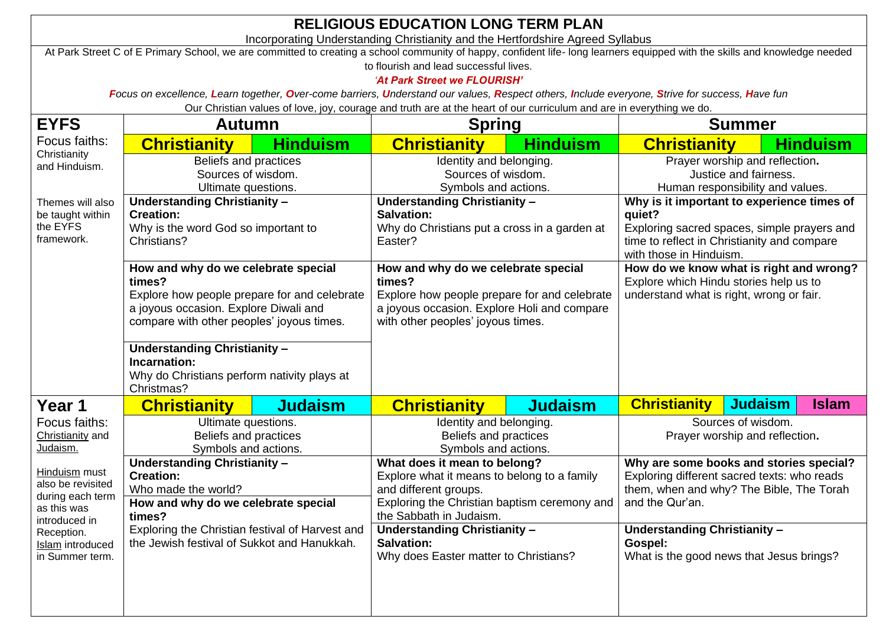| <b>RELIGIOUS EDUCATION LONG TERM PLAN</b>                                                                                                                                                                                                                     |                                                                                               |                 |                                                                                               |                 |                                                                                                                               |                                  |                 |  |  |
|---------------------------------------------------------------------------------------------------------------------------------------------------------------------------------------------------------------------------------------------------------------|-----------------------------------------------------------------------------------------------|-----------------|-----------------------------------------------------------------------------------------------|-----------------|-------------------------------------------------------------------------------------------------------------------------------|----------------------------------|-----------------|--|--|
| Incorporating Understanding Christianity and the Hertfordshire Agreed Syllabus<br>At Park Street C of E Primary School, we are committed to creating a school community of happy, confident life- long learners equipped with the skills and knowledge needed |                                                                                               |                 |                                                                                               |                 |                                                                                                                               |                                  |                 |  |  |
| to flourish and lead successful lives.                                                                                                                                                                                                                        |                                                                                               |                 |                                                                                               |                 |                                                                                                                               |                                  |                 |  |  |
| 'At Park Street we FLOURISH'<br>Focus on excellence, Learn together, Over-come barriers, Understand our values, Respect others, Include everyone, Strive for success, Have fun                                                                                |                                                                                               |                 |                                                                                               |                 |                                                                                                                               |                                  |                 |  |  |
| Our Christian values of love, joy, courage and truth are at the heart of our curriculum and are in everything we do.                                                                                                                                          |                                                                                               |                 |                                                                                               |                 |                                                                                                                               |                                  |                 |  |  |
| <b>EYFS</b>                                                                                                                                                                                                                                                   | Autumn<br><b>Spring</b>                                                                       |                 |                                                                                               |                 | <b>Summer</b>                                                                                                                 |                                  |                 |  |  |
| Focus faiths:                                                                                                                                                                                                                                                 | <b>Christianity</b>                                                                           | <b>Hinduism</b> | <b>Christianity</b>                                                                           | <u>Hinduism</u> | <b>Christianity</b>                                                                                                           |                                  | <b>Hinduism</b> |  |  |
| Christianity<br>and Hinduism.                                                                                                                                                                                                                                 | Beliefs and practices<br>Sources of wisdom.                                                   |                 | Identity and belonging.                                                                       |                 | Prayer worship and reflection.<br>Justice and fairness.                                                                       |                                  |                 |  |  |
|                                                                                                                                                                                                                                                               | Ultimate questions.                                                                           |                 | Sources of wisdom.<br>Symbols and actions.                                                    |                 |                                                                                                                               | Human responsibility and values. |                 |  |  |
| Themes will also                                                                                                                                                                                                                                              | Understanding Christianity -                                                                  |                 | <b>Understanding Christianity -</b>                                                           |                 | Why is it important to experience times of                                                                                    |                                  |                 |  |  |
| be taught within<br>the EYFS                                                                                                                                                                                                                                  | <b>Creation:</b>                                                                              |                 | <b>Salvation:</b><br>Why do Christians put a cross in a garden at                             |                 | quiet?<br>Exploring sacred spaces, simple prayers and                                                                         |                                  |                 |  |  |
| framework.                                                                                                                                                                                                                                                    | Why is the word God so important to<br>Christians?                                            |                 | Easter?                                                                                       |                 | time to reflect in Christianity and compare<br>with those in Hinduism.                                                        |                                  |                 |  |  |
|                                                                                                                                                                                                                                                               |                                                                                               |                 |                                                                                               |                 |                                                                                                                               |                                  |                 |  |  |
|                                                                                                                                                                                                                                                               | How and why do we celebrate special<br>times?<br>Explore how people prepare for and celebrate |                 | How and why do we celebrate special<br>times?<br>Explore how people prepare for and celebrate |                 | How do we know what is right and wrong?<br>Explore which Hindu stories help us to<br>understand what is right, wrong or fair. |                                  |                 |  |  |
|                                                                                                                                                                                                                                                               |                                                                                               |                 |                                                                                               |                 |                                                                                                                               |                                  |                 |  |  |
|                                                                                                                                                                                                                                                               | a joyous occasion. Explore Diwali and<br>compare with other peoples' joyous times.            |                 | a joyous occasion. Explore Holi and compare<br>with other peoples' joyous times.              |                 |                                                                                                                               |                                  |                 |  |  |
|                                                                                                                                                                                                                                                               |                                                                                               |                 |                                                                                               |                 |                                                                                                                               |                                  |                 |  |  |
|                                                                                                                                                                                                                                                               | Understanding Christianity -<br>Incarnation:                                                  |                 |                                                                                               |                 |                                                                                                                               |                                  |                 |  |  |
|                                                                                                                                                                                                                                                               | Why do Christians perform nativity plays at<br>Christmas?                                     |                 |                                                                                               |                 |                                                                                                                               |                                  |                 |  |  |
|                                                                                                                                                                                                                                                               |                                                                                               |                 |                                                                                               |                 |                                                                                                                               |                                  |                 |  |  |
| Year 1<br>Focus faiths:                                                                                                                                                                                                                                       | <b>Christianity</b>                                                                           | <b>Judaism</b>  | <b>Christianity</b>                                                                           | <b>Judaism</b>  | <b>Christianity</b>                                                                                                           | <b>Judaism</b>                   | <b>Islam</b>    |  |  |
| Christianity and                                                                                                                                                                                                                                              | Ultimate questions.<br>Beliefs and practices                                                  |                 | Identity and belonging.<br>Beliefs and practices                                              |                 | Sources of wisdom.<br>Prayer worship and reflection.                                                                          |                                  |                 |  |  |
| Judaism.                                                                                                                                                                                                                                                      | Symbols and actions.                                                                          |                 | Symbols and actions.                                                                          |                 |                                                                                                                               |                                  |                 |  |  |
| Hinduism must                                                                                                                                                                                                                                                 | <b>Understanding Christianity -</b><br><b>Creation:</b>                                       |                 | What does it mean to belong?<br>Explore what it means to belong to a family                   |                 | Why are some books and stories special?<br>Exploring different sacred texts: who reads                                        |                                  |                 |  |  |
| also be revisited<br>during each term                                                                                                                                                                                                                         | Who made the world?                                                                           |                 | and different groups.                                                                         |                 | them, when and why? The Bible, The Torah<br>and the Qur'an.                                                                   |                                  |                 |  |  |
| as this was                                                                                                                                                                                                                                                   | How and why do we celebrate special                                                           |                 | Exploring the Christian baptism ceremony and<br>the Sabbath in Judaism.                       |                 |                                                                                                                               |                                  |                 |  |  |
| introduced in<br>Reception.                                                                                                                                                                                                                                   | times?<br>Exploring the Christian festival of Harvest and                                     |                 | Understanding Christianity -                                                                  |                 | Understanding Christianity -                                                                                                  |                                  |                 |  |  |
| Islam introduced                                                                                                                                                                                                                                              | the Jewish festival of Sukkot and Hanukkah.                                                   |                 | <b>Salvation:</b><br>Why does Easter matter to Christians?                                    |                 | Gospel:<br>What is the good news that Jesus brings?                                                                           |                                  |                 |  |  |
| in Summer term.                                                                                                                                                                                                                                               |                                                                                               |                 |                                                                                               |                 |                                                                                                                               |                                  |                 |  |  |
|                                                                                                                                                                                                                                                               |                                                                                               |                 |                                                                                               |                 |                                                                                                                               |                                  |                 |  |  |
|                                                                                                                                                                                                                                                               |                                                                                               |                 |                                                                                               |                 |                                                                                                                               |                                  |                 |  |  |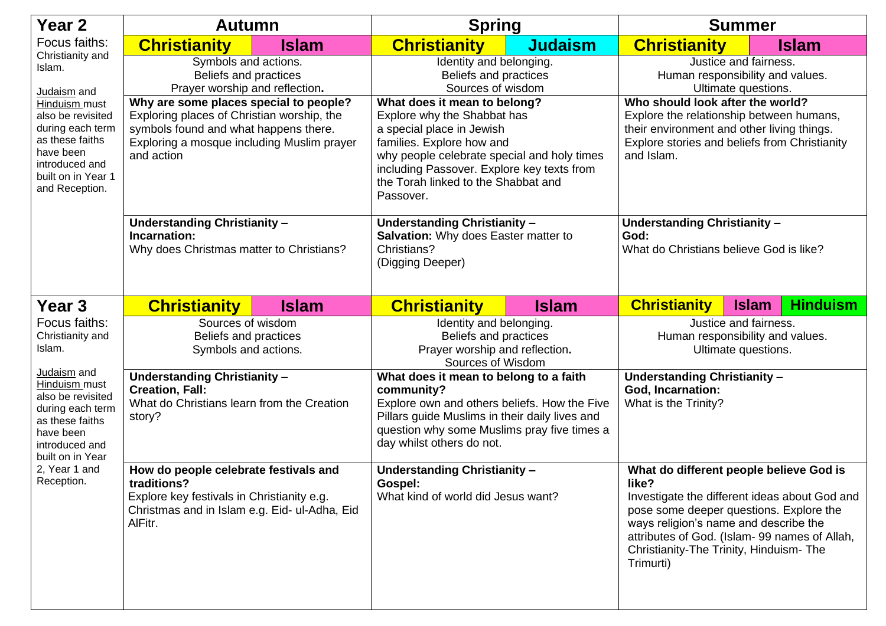| Year 2                                                                                                                                                                                                         | <b>Autumn</b>                                                                                                                                                                             |              | <b>Spring</b>                                                                                                                                                                                                                                                          |                | <b>Summer</b>                                                                                                                                                                                                                                                                                 |                                 |
|----------------------------------------------------------------------------------------------------------------------------------------------------------------------------------------------------------------|-------------------------------------------------------------------------------------------------------------------------------------------------------------------------------------------|--------------|------------------------------------------------------------------------------------------------------------------------------------------------------------------------------------------------------------------------------------------------------------------------|----------------|-----------------------------------------------------------------------------------------------------------------------------------------------------------------------------------------------------------------------------------------------------------------------------------------------|---------------------------------|
| Focus faiths:<br>Christianity and<br>Islam.<br>Judaism and<br>Hinduism must<br>also be revisited<br>during each term<br>as these faiths<br>have been<br>introduced and<br>built on in Year 1<br>and Reception. | <b>Christianity</b>                                                                                                                                                                       | <b>Islam</b> | <b>Christianity</b>                                                                                                                                                                                                                                                    | <b>Judaism</b> | <b>Christianity</b>                                                                                                                                                                                                                                                                           | <u>Islam</u>                    |
|                                                                                                                                                                                                                | Symbols and actions.<br>Beliefs and practices<br>Prayer worship and reflection.                                                                                                           |              | Identity and belonging.<br>Beliefs and practices<br>Sources of wisdom                                                                                                                                                                                                  |                | Justice and fairness.<br>Human responsibility and values.<br>Ultimate questions.                                                                                                                                                                                                              |                                 |
|                                                                                                                                                                                                                | Why are some places special to people?<br>Exploring places of Christian worship, the<br>symbols found and what happens there.<br>Exploring a mosque including Muslim prayer<br>and action |              | What does it mean to belong?<br>Explore why the Shabbat has<br>a special place in Jewish<br>families. Explore how and<br>why people celebrate special and holy times<br>including Passover. Explore key texts from<br>the Torah linked to the Shabbat and<br>Passover. |                | Who should look after the world?<br>Explore the relationship between humans,<br>their environment and other living things.<br>Explore stories and beliefs from Christianity<br>and Islam.                                                                                                     |                                 |
|                                                                                                                                                                                                                | Understanding Christianity -<br>Incarnation:<br>Why does Christmas matter to Christians?                                                                                                  |              | <b>Understanding Christianity -</b><br>Salvation: Why does Easter matter to<br>Christians?<br>(Digging Deeper)                                                                                                                                                         |                | <b>Understanding Christianity -</b><br>God:<br>What do Christians believe God is like?                                                                                                                                                                                                        |                                 |
| Year <sub>3</sub>                                                                                                                                                                                              | <b>Christianity</b>                                                                                                                                                                       | <b>Islam</b> | <b>Christianity</b>                                                                                                                                                                                                                                                    | <b>Islam</b>   | <b>Christianity</b>                                                                                                                                                                                                                                                                           | <b>Hinduism</b><br><b>Islam</b> |
| Focus faiths:<br>Christianity and<br>Islam.                                                                                                                                                                    | Sources of wisdom<br>Beliefs and practices<br>Symbols and actions.                                                                                                                        |              | Identity and belonging.<br>Beliefs and practices<br>Prayer worship and reflection.<br>Sources of Wisdom                                                                                                                                                                |                | Justice and fairness.<br>Human responsibility and values.<br>Ultimate questions.                                                                                                                                                                                                              |                                 |
| Judaism and<br>Hinduism must<br>also be revisited<br>during each term<br>as these faiths<br>have been<br>introduced and<br>built on in Year<br>2, Year 1 and<br>Reception.                                     | <b>Understanding Christianity -</b><br><b>Creation, Fall:</b><br>What do Christians learn from the Creation<br>story?                                                                     |              | What does it mean to belong to a faith<br>community?<br>Explore own and others beliefs. How the Five<br>Pillars guide Muslims in their daily lives and<br>question why some Muslims pray five times a<br>day whilst others do not.                                     |                | <b>Understanding Christianity -</b><br><b>God, Incarnation:</b><br>What is the Trinity?                                                                                                                                                                                                       |                                 |
|                                                                                                                                                                                                                | How do people celebrate festivals and<br>traditions?<br>Explore key festivals in Christianity e.g.<br>Christmas and in Islam e.g. Eid- ul-Adha, Eid<br>AlFitr.                            |              | <b>Understanding Christianity -</b><br>Gospel:<br>What kind of world did Jesus want?                                                                                                                                                                                   |                | What do different people believe God is<br>like?<br>Investigate the different ideas about God and<br>pose some deeper questions. Explore the<br>ways religion's name and describe the<br>attributes of God. (Islam- 99 names of Allah,<br>Christianity-The Trinity, Hinduism-The<br>Trimurti) |                                 |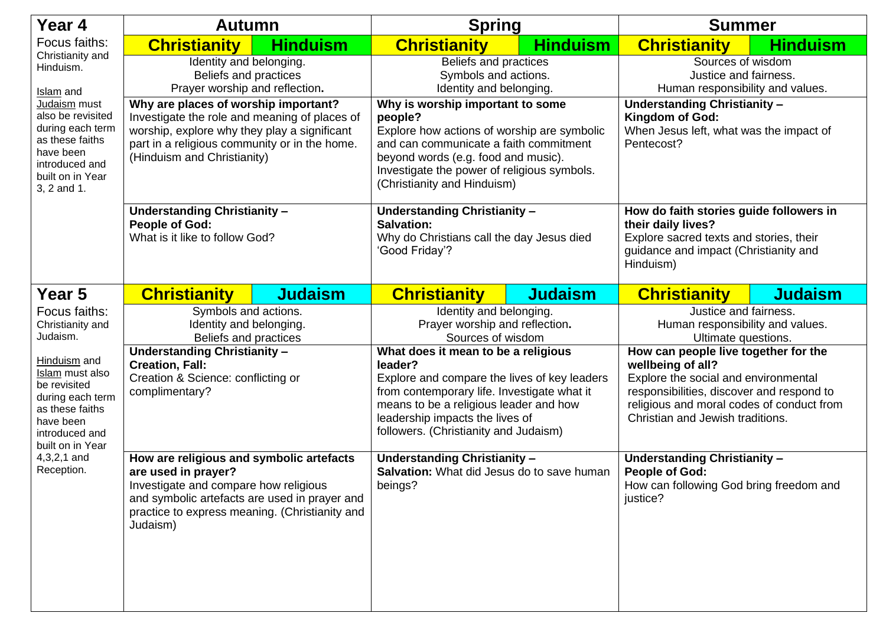| Year 4                                                                                                                                                                                                    | <b>Autumn</b>                                                                                                                                                                                                           |                 | <b>Spring</b>                                                                                                                                                                                                                                                       |                 | <b>Summer</b>                                                                                                                                                                                                                   |                 |
|-----------------------------------------------------------------------------------------------------------------------------------------------------------------------------------------------------------|-------------------------------------------------------------------------------------------------------------------------------------------------------------------------------------------------------------------------|-----------------|---------------------------------------------------------------------------------------------------------------------------------------------------------------------------------------------------------------------------------------------------------------------|-----------------|---------------------------------------------------------------------------------------------------------------------------------------------------------------------------------------------------------------------------------|-----------------|
| Focus faiths:<br>Christianity and<br>Hinduism.<br>Islam and<br>Judaism must<br>also be revisited<br>during each term<br>as these faiths<br>have been<br>introduced and<br>built on in Year<br>3, 2 and 1. | <b>Christianity</b>                                                                                                                                                                                                     | <b>Hinduism</b> | <b>Christianity</b>                                                                                                                                                                                                                                                 | <b>Hinduism</b> | <b>Christianity</b>                                                                                                                                                                                                             | <b>Hinduism</b> |
|                                                                                                                                                                                                           | Identity and belonging.<br>Beliefs and practices<br>Prayer worship and reflection.                                                                                                                                      |                 | Beliefs and practices<br>Symbols and actions.<br>Identity and belonging.                                                                                                                                                                                            |                 | Sources of wisdom<br>Justice and fairness.<br>Human responsibility and values.                                                                                                                                                  |                 |
|                                                                                                                                                                                                           | Why are places of worship important?<br>Investigate the role and meaning of places of<br>worship, explore why they play a significant<br>part in a religious community or in the home.<br>(Hinduism and Christianity)   |                 | Why is worship important to some<br>people?<br>Explore how actions of worship are symbolic<br>and can communicate a faith commitment<br>beyond words (e.g. food and music).<br>Investigate the power of religious symbols.<br>(Christianity and Hinduism)           |                 | <b>Understanding Christianity -</b><br>Kingdom of God:<br>When Jesus left, what was the impact of<br>Pentecost?                                                                                                                 |                 |
|                                                                                                                                                                                                           | Understanding Christianity -<br>People of God:<br>What is it like to follow God?                                                                                                                                        |                 | Understanding Christianity -<br><b>Salvation:</b><br>Why do Christians call the day Jesus died<br>'Good Friday'?                                                                                                                                                    |                 | How do faith stories guide followers in<br>their daily lives?<br>Explore sacred texts and stories, their<br>guidance and impact (Christianity and<br>Hinduism)                                                                  |                 |
| Year 5                                                                                                                                                                                                    | <b>Christianity</b>                                                                                                                                                                                                     | <b>Judaism</b>  | <b>Christianity</b>                                                                                                                                                                                                                                                 | <b>Judaism</b>  | <b>Christianity</b>                                                                                                                                                                                                             | <b>Judaism</b>  |
| Focus faiths:<br>Christianity and<br>Judaism.                                                                                                                                                             | Symbols and actions.<br>Identity and belonging.<br>Beliefs and practices                                                                                                                                                |                 | Identity and belonging.<br>Prayer worship and reflection.<br>Sources of wisdom                                                                                                                                                                                      |                 | Justice and fairness.<br>Human responsibility and values.<br>Ultimate questions.                                                                                                                                                |                 |
| Hinduism and<br>Islam must also<br>be revisited<br>during each term<br>as these faiths<br>have been<br>introduced and<br>built on in Year<br>$4,3,2,1$ and<br>Reception.                                  | <b>Understanding Christianity-</b><br><b>Creation, Fall:</b><br>Creation & Science: conflicting or<br>complimentary?                                                                                                    |                 | What does it mean to be a religious<br>leader?<br>Explore and compare the lives of key leaders<br>from contemporary life. Investigate what it<br>means to be a religious leader and how<br>leadership impacts the lives of<br>followers. (Christianity and Judaism) |                 | How can people live together for the<br>wellbeing of all?<br>Explore the social and environmental<br>responsibilities, discover and respond to<br>religious and moral codes of conduct from<br>Christian and Jewish traditions. |                 |
|                                                                                                                                                                                                           | How are religious and symbolic artefacts<br>are used in prayer?<br>Investigate and compare how religious<br>and symbolic artefacts are used in prayer and<br>practice to express meaning. (Christianity and<br>Judaism) |                 | Understanding Christianity -<br>Salvation: What did Jesus do to save human<br>beings?                                                                                                                                                                               |                 | <b>Understanding Christianity -</b><br><b>People of God:</b><br>How can following God bring freedom and<br>justice?                                                                                                             |                 |